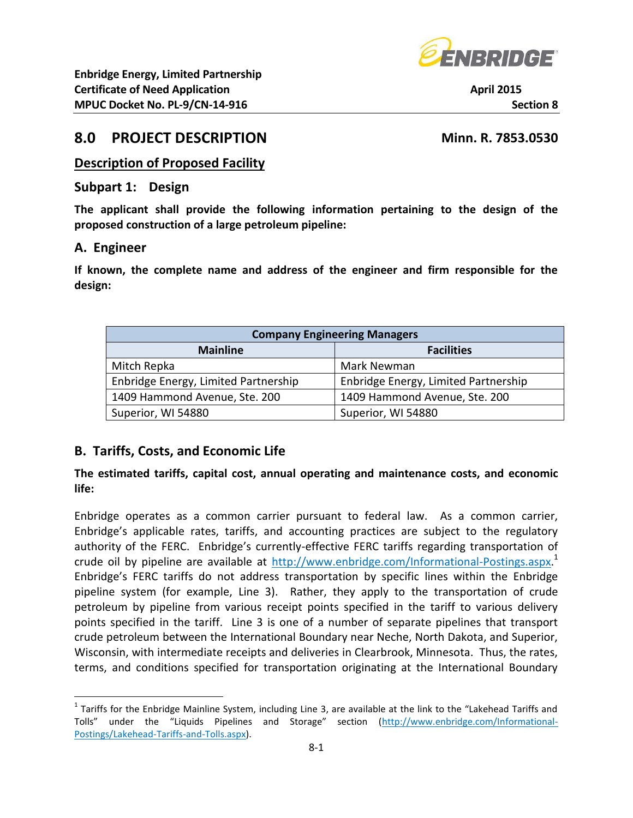

# **8.0 PROJECT DESCRIPTION Minn. R. 7853.0530**

### **Description of Proposed Facility**

#### **Subpart 1: Design**

**The applicant shall provide the following information pertaining to the design of the proposed construction of a large petroleum pipeline:**

#### **A. Engineer**

 $\overline{a}$ 

**If known, the complete name and address of the engineer and firm responsible for the design:**

| <b>Company Engineering Managers</b>  |                                      |  |  |  |
|--------------------------------------|--------------------------------------|--|--|--|
| <b>Facilities</b><br><b>Mainline</b> |                                      |  |  |  |
| Mitch Repka                          | Mark Newman                          |  |  |  |
| Enbridge Energy, Limited Partnership | Enbridge Energy, Limited Partnership |  |  |  |
| 1409 Hammond Avenue, Ste. 200        | 1409 Hammond Avenue, Ste. 200        |  |  |  |
| Superior, WI 54880                   | Superior, WI 54880                   |  |  |  |

### **B. Tariffs, Costs, and Economic Life**

#### **The estimated tariffs, capital cost, annual operating and maintenance costs, and economic life:**

Enbridge operates as a common carrier pursuant to federal law. As a common carrier, Enbridge's applicable rates, tariffs, and accounting practices are subject to the regulatory authority of the FERC. Enbridge's currently-effective FERC tariffs regarding transportation of crude oil by pipeline are available at [http://www.enbridge.com/Informational-Postings.aspx.](http://www.enbridge.com/Informational-Postings.aspx)<sup>1</sup> Enbridge's FERC tariffs do not address transportation by specific lines within the Enbridge pipeline system (for example, Line 3). Rather, they apply to the transportation of crude petroleum by pipeline from various receipt points specified in the tariff to various delivery points specified in the tariff. Line 3 is one of a number of separate pipelines that transport crude petroleum between the International Boundary near Neche, North Dakota, and Superior, Wisconsin, with intermediate receipts and deliveries in Clearbrook, Minnesota. Thus, the rates, terms, and conditions specified for transportation originating at the International Boundary

<sup>&</sup>lt;sup>1</sup> Tariffs for the Enbridge Mainline System, including Line 3, are available at the link to the "Lakehead Tariffs and Tolls" under the "Liquids Pipelines and Storage" section ([http://www.enbridge.com/Informational-](http://www.enbridge.com/Informational-Postings/Lakehead-Tariffs-and-Tolls.aspx)[Postings/Lakehead-Tariffs-and-Tolls.aspx\)](http://www.enbridge.com/Informational-Postings/Lakehead-Tariffs-and-Tolls.aspx).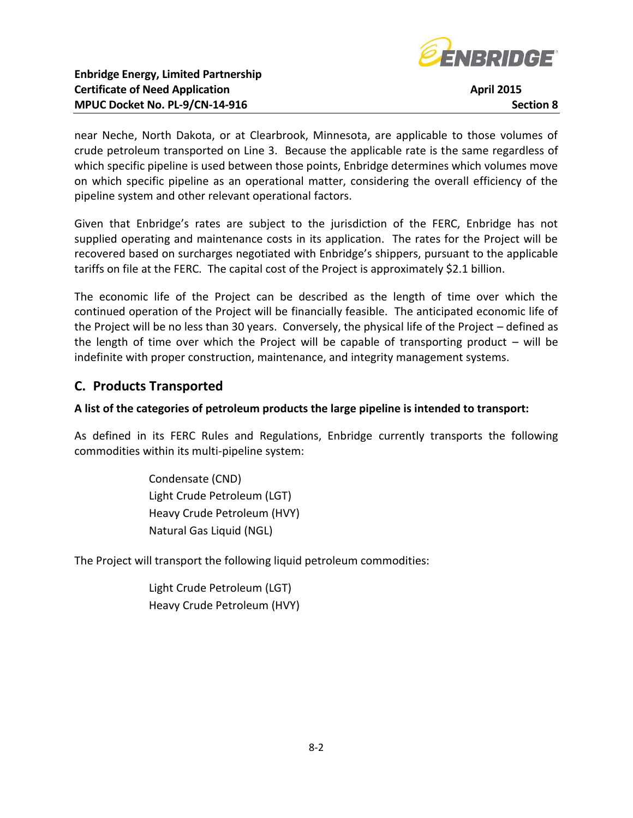

near Neche, North Dakota, or at Clearbrook, Minnesota, are applicable to those volumes of crude petroleum transported on Line 3. Because the applicable rate is the same regardless of which specific pipeline is used between those points, Enbridge determines which volumes move on which specific pipeline as an operational matter, considering the overall efficiency of the pipeline system and other relevant operational factors.

Given that Enbridge's rates are subject to the jurisdiction of the FERC, Enbridge has not supplied operating and maintenance costs in its application. The rates for the Project will be recovered based on surcharges negotiated with Enbridge's shippers, pursuant to the applicable tariffs on file at the FERC. The capital cost of the Project is approximately \$2.1 billion.

The economic life of the Project can be described as the length of time over which the continued operation of the Project will be financially feasible. The anticipated economic life of the Project will be no less than 30 years. Conversely, the physical life of the Project – defined as the length of time over which the Project will be capable of transporting product – will be indefinite with proper construction, maintenance, and integrity management systems.

# **C. Products Transported**

### **A list of the categories of petroleum products the large pipeline is intended to transport:**

As defined in its FERC Rules and Regulations, Enbridge currently transports the following commodities within its multi-pipeline system:

> Condensate (CND) Light Crude Petroleum (LGT) Heavy Crude Petroleum (HVY) Natural Gas Liquid (NGL)

The Project will transport the following liquid petroleum commodities:

Light Crude Petroleum (LGT) Heavy Crude Petroleum (HVY)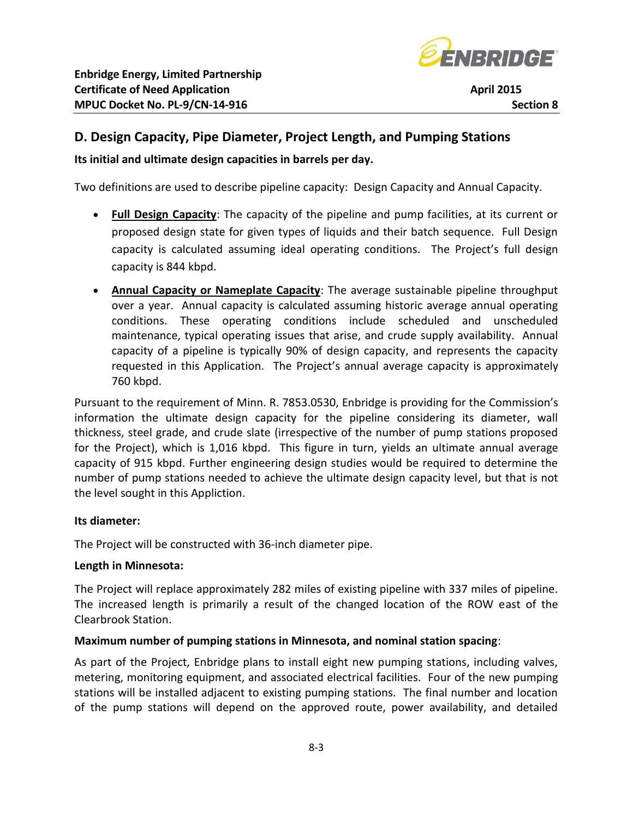

## **D. Design Capacity, Pipe Diameter, Project Length, and Pumping Stations**

**Its initial and ultimate design capacities in barrels per day.**

Two definitions are used to describe pipeline capacity: Design Capacity and Annual Capacity.

- **Full Design Capacity**: The capacity of the pipeline and pump facilities, at its current or proposed design state for given types of liquids and their batch sequence. Full Design capacity is calculated assuming ideal operating conditions. The Project's full design capacity is 844 kbpd.
- **Annual Capacity or Nameplate Capacity**: The average sustainable pipeline throughput over a year. Annual capacity is calculated assuming historic average annual operating conditions. These operating conditions include scheduled and unscheduled maintenance, typical operating issues that arise, and crude supply availability. Annual capacity of a pipeline is typically 90% of design capacity, and represents the capacity requested in this Application. The Project's annual average capacity is approximately 760 kbpd.

Pursuant to the requirement of Minn. R. 7853.0530, Enbridge is providing for the Commission's information the ultimate design capacity for the pipeline considering its diameter, wall thickness, steel grade, and crude slate (irrespective of the number of pump stations proposed for the Project), which is 1,016 kbpd. This figure in turn, yields an ultimate annual average capacity of 915 kbpd. Further engineering design studies would be required to determine the number of pump stations needed to achieve the ultimate design capacity level, but that is not the level sought in this Appliction.

#### **Its diameter:**

The Project will be constructed with 36-inch diameter pipe.

#### **Length in Minnesota:**

The Project will replace approximately 282 miles of existing pipeline with 337 miles of pipeline. The increased length is primarily a result of the changed location of the ROW east of the Clearbrook Station.

#### **Maximum number of pumping stations in Minnesota, and nominal station spacing**:

As part of the Project, Enbridge plans to install eight new pumping stations, including valves, metering, monitoring equipment, and associated electrical facilities. Four of the new pumping stations will be installed adjacent to existing pumping stations. The final number and location of the pump stations will depend on the approved route, power availability, and detailed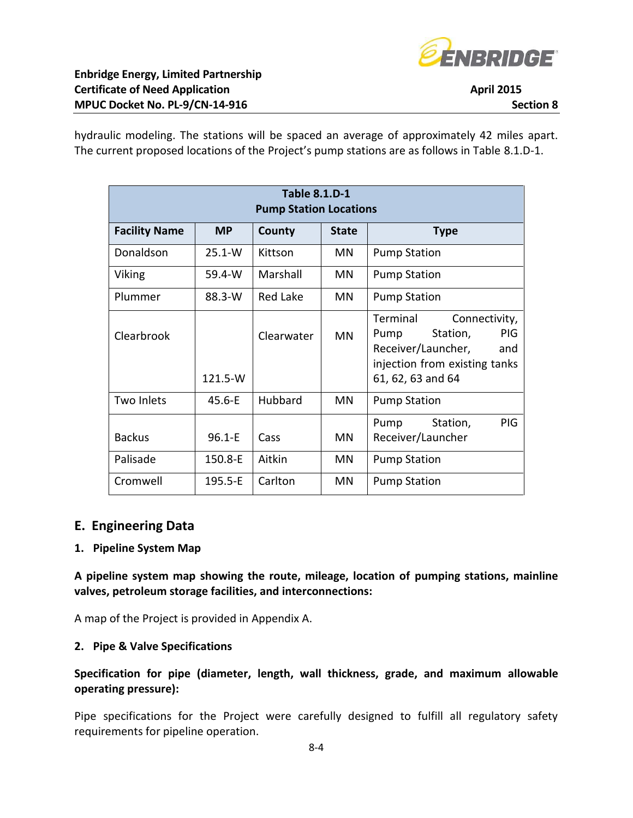

hydraulic modeling. The stations will be spaced an average of approximately 42 miles apart. The current proposed locations of the Project's pump stations are as follows in Table 8.1.D-1.

| <b>Table 8.1.D-1</b><br><b>Pump Station Locations</b>                      |             |            |           |                                                                                                                                                |  |
|----------------------------------------------------------------------------|-------------|------------|-----------|------------------------------------------------------------------------------------------------------------------------------------------------|--|
| <b>Facility Name</b><br><b>MP</b><br>County<br><b>State</b><br><b>Type</b> |             |            |           |                                                                                                                                                |  |
| Donaldson                                                                  | $25.1 - W$  | Kittson    | MN.       | <b>Pump Station</b>                                                                                                                            |  |
| Viking                                                                     | 59.4-W      | Marshall   | <b>MN</b> | <b>Pump Station</b>                                                                                                                            |  |
| Plummer                                                                    | $88.3-W$    | Red Lake   | MN.       | <b>Pump Station</b>                                                                                                                            |  |
| Clearbrook                                                                 | 121.5-W     | Clearwater | <b>MN</b> | Terminal<br>Connectivity,<br>Station,<br><b>PIG</b><br>Pump<br>Receiver/Launcher,<br>and<br>injection from existing tanks<br>61, 62, 63 and 64 |  |
| Two Inlets                                                                 | $45.6 - E$  | Hubbard    | MN        | <b>Pump Station</b>                                                                                                                            |  |
| <b>Backus</b>                                                              | $96.1 - E$  | Cass       | <b>MN</b> | PIG.<br>Station,<br>Pump<br>Receiver/Launcher                                                                                                  |  |
| Palisade                                                                   | 150.8-E     | Aitkin     | MN        | <b>Pump Station</b>                                                                                                                            |  |
| Cromwell                                                                   | $195.5 - E$ | Carlton    | <b>MN</b> | <b>Pump Station</b>                                                                                                                            |  |

### **E. Engineering Data**

#### **1. Pipeline System Map**

**A pipeline system map showing the route, mileage, location of pumping stations, mainline valves, petroleum storage facilities, and interconnections:**

A map of the Project is provided in Appendix A.

#### **2. Pipe & Valve Specifications**

#### **Specification for pipe (diameter, length, wall thickness, grade, and maximum allowable operating pressure):**

Pipe specifications for the Project were carefully designed to fulfill all regulatory safety requirements for pipeline operation.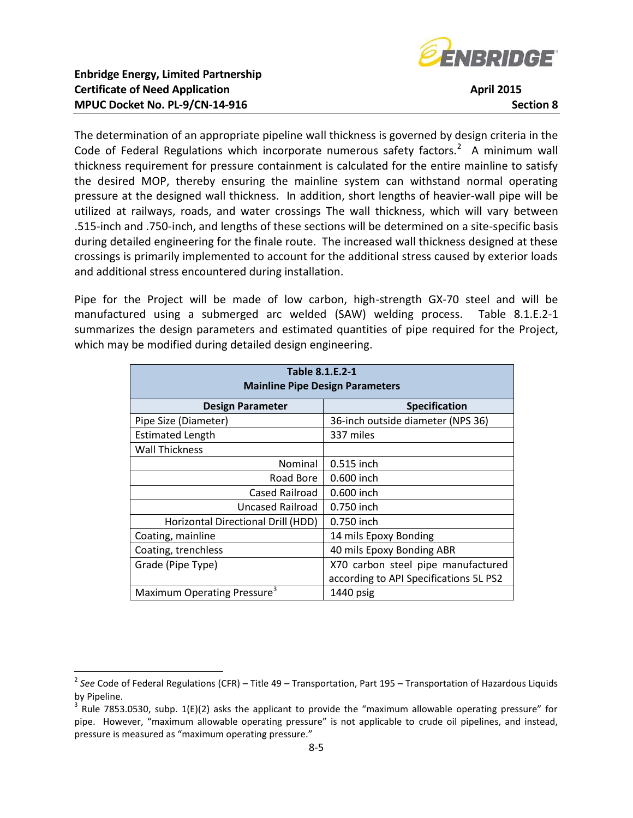

The determination of an appropriate pipeline wall thickness is governed by design criteria in the Code of Federal Regulations which incorporate numerous safety factors.<sup>2</sup> A minimum wall thickness requirement for pressure containment is calculated for the entire mainline to satisfy the desired MOP, thereby ensuring the mainline system can withstand normal operating pressure at the designed wall thickness. In addition, short lengths of heavier-wall pipe will be utilized at railways, roads, and water crossings The wall thickness, which will vary between .515-inch and .750-inch, and lengths of these sections will be determined on a site-specific basis during detailed engineering for the finale route. The increased wall thickness designed at these crossings is primarily implemented to account for the additional stress caused by exterior loads and additional stress encountered during installation.

Pipe for the Project will be made of low carbon, high-strength GX-70 steel and will be manufactured using a submerged arc welded (SAW) welding process. Table 8.1.E.2-1 summarizes the design parameters and estimated quantities of pipe required for the Project, which may be modified during detailed design engineering.

| Table 8.1.E.2-1<br><b>Mainline Pipe Design Parameters</b> |                                        |  |  |  |
|-----------------------------------------------------------|----------------------------------------|--|--|--|
| <b>Design Parameter</b>                                   | Specification                          |  |  |  |
| Pipe Size (Diameter)                                      | 36-inch outside diameter (NPS 36)      |  |  |  |
| <b>Estimated Length</b>                                   | 337 miles                              |  |  |  |
| <b>Wall Thickness</b>                                     |                                        |  |  |  |
| Nominal                                                   | 0.515 inch                             |  |  |  |
| Road Bore                                                 | 0.600 inch                             |  |  |  |
| Cased Railroad                                            | 0.600 inch                             |  |  |  |
| Uncased Railroad                                          | 0.750 inch                             |  |  |  |
| Horizontal Directional Drill (HDD)                        | 0.750 inch                             |  |  |  |
| Coating, mainline                                         | 14 mils Epoxy Bonding                  |  |  |  |
| Coating, trenchless                                       | 40 mils Epoxy Bonding ABR              |  |  |  |
| Grade (Pipe Type)                                         | X70 carbon steel pipe manufactured     |  |  |  |
|                                                           | according to API Specifications 5L PS2 |  |  |  |
| Maximum Operating Pressure <sup>3</sup>                   | 1440 psig                              |  |  |  |

 2 *See* Code of Federal Regulations (CFR) – Title 49 – Transportation, Part 195 – Transportation of Hazardous Liquids by Pipeline.

 $3$  Rule 7853.0530, subp. 1(E)(2) asks the applicant to provide the "maximum allowable operating pressure" for pipe. However, "maximum allowable operating pressure" is not applicable to crude oil pipelines, and instead, pressure is measured as "maximum operating pressure."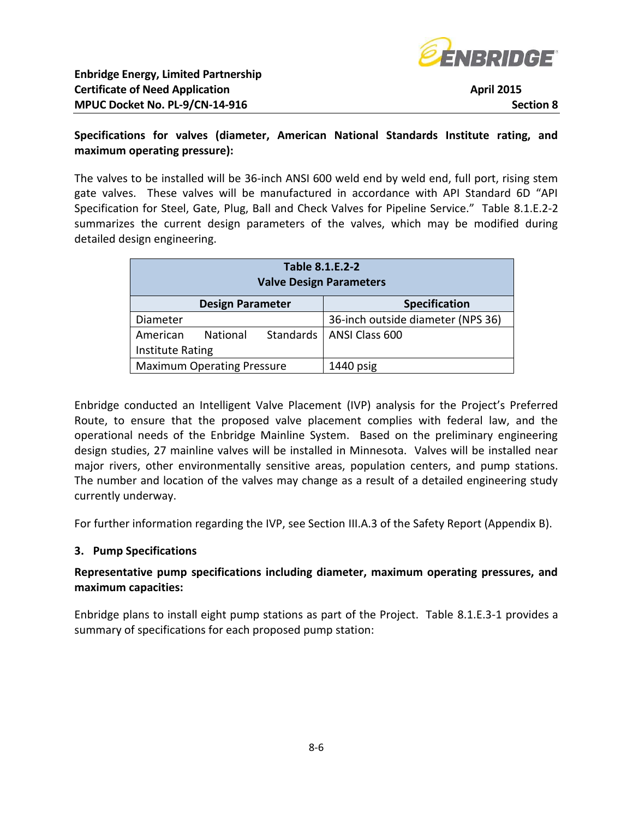

#### **Specifications for valves (diameter, American National Standards Institute rating, and maximum operating pressure):**

The valves to be installed will be 36-inch ANSI 600 weld end by weld end, full port, rising stem gate valves. These valves will be manufactured in accordance with API Standard 6D "API Specification for Steel, Gate, Plug, Ball and Check Valves for Pipeline Service." Table 8.1.E.2-2 summarizes the current design parameters of the valves, which may be modified during detailed design engineering.

| Table 8.1.E.2-2<br><b>Valve Design Parameters</b> |                                                 |  |                                   |  |
|---------------------------------------------------|-------------------------------------------------|--|-----------------------------------|--|
|                                                   | <b>Specification</b><br><b>Design Parameter</b> |  |                                   |  |
| Diameter                                          |                                                 |  | 36-inch outside diameter (NPS 36) |  |
| American                                          | National                                        |  | Standards   ANSI Class 600        |  |
| <b>Institute Rating</b>                           |                                                 |  |                                   |  |
| <b>Maximum Operating Pressure</b>                 |                                                 |  | $1440$ psig                       |  |

Enbridge conducted an Intelligent Valve Placement (IVP) analysis for the Project's Preferred Route, to ensure that the proposed valve placement complies with federal law, and the operational needs of the Enbridge Mainline System. Based on the preliminary engineering design studies, 27 mainline valves will be installed in Minnesota. Valves will be installed near major rivers, other environmentally sensitive areas, population centers, and pump stations. The number and location of the valves may change as a result of a detailed engineering study currently underway.

For further information regarding the IVP, see Section III.A.3 of the Safety Report (Appendix B).

### **3. Pump Specifications**

### **Representative pump specifications including diameter, maximum operating pressures, and maximum capacities:**

Enbridge plans to install eight pump stations as part of the Project. Table 8.1.E.3-1 provides a summary of specifications for each proposed pump station: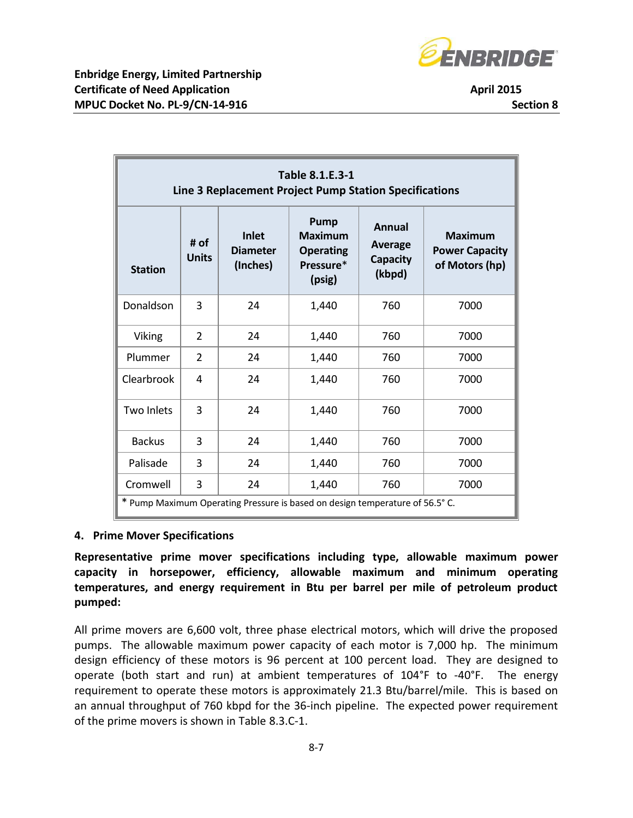

| Table 8.1.E.3-1<br>Line 3 Replacement Project Pump Station Specifications                                                                                                                                                             |                |    |       |     |                                         |
|---------------------------------------------------------------------------------------------------------------------------------------------------------------------------------------------------------------------------------------|----------------|----|-------|-----|-----------------------------------------|
| Pump<br><b>Annual</b><br><b>Maximum</b><br><b>Inlet</b><br><b>Maximum</b><br># of<br><b>Average</b><br><b>Diameter</b><br><b>Operating</b><br><b>Units</b><br>Capacity<br>(Inches)<br>Pressure*<br><b>Station</b><br>(kbpd)<br>(psig) |                |    |       |     | <b>Power Capacity</b><br>of Motors (hp) |
| Donaldson                                                                                                                                                                                                                             | 3              | 24 | 1,440 | 760 | 7000                                    |
| <b>Viking</b>                                                                                                                                                                                                                         | $\overline{2}$ | 24 | 1,440 | 760 | 7000                                    |
| Plummer                                                                                                                                                                                                                               | $\overline{2}$ | 24 | 1,440 | 760 | 7000                                    |
| Clearbrook                                                                                                                                                                                                                            | 4              | 24 | 1,440 | 760 | 7000                                    |
| <b>Two Inlets</b>                                                                                                                                                                                                                     | 3              | 24 | 1,440 | 760 | 7000                                    |
| <b>Backus</b>                                                                                                                                                                                                                         | 3              | 24 | 1,440 | 760 | 7000                                    |
| Palisade                                                                                                                                                                                                                              | 3              | 24 | 1,440 | 760 | 7000                                    |
| Cromwell                                                                                                                                                                                                                              | 3              | 24 | 1,440 | 760 | 7000                                    |
| * Pump Maximum Operating Pressure is based on design temperature of 56.5° C.                                                                                                                                                          |                |    |       |     |                                         |

#### **4. Prime Mover Specifications**

**Representative prime mover specifications including type, allowable maximum power capacity in horsepower, efficiency, allowable maximum and minimum operating temperatures, and energy requirement in Btu per barrel per mile of petroleum product pumped:**

All prime movers are 6,600 volt, three phase electrical motors, which will drive the proposed pumps. The allowable maximum power capacity of each motor is 7,000 hp. The minimum design efficiency of these motors is 96 percent at 100 percent load. They are designed to operate (both start and run) at ambient temperatures of 104°F to -40°F. The energy requirement to operate these motors is approximately 21.3 Btu/barrel/mile. This is based on an annual throughput of 760 kbpd for the 36-inch pipeline. The expected power requirement of the prime movers is shown in Table 8.3.C-1.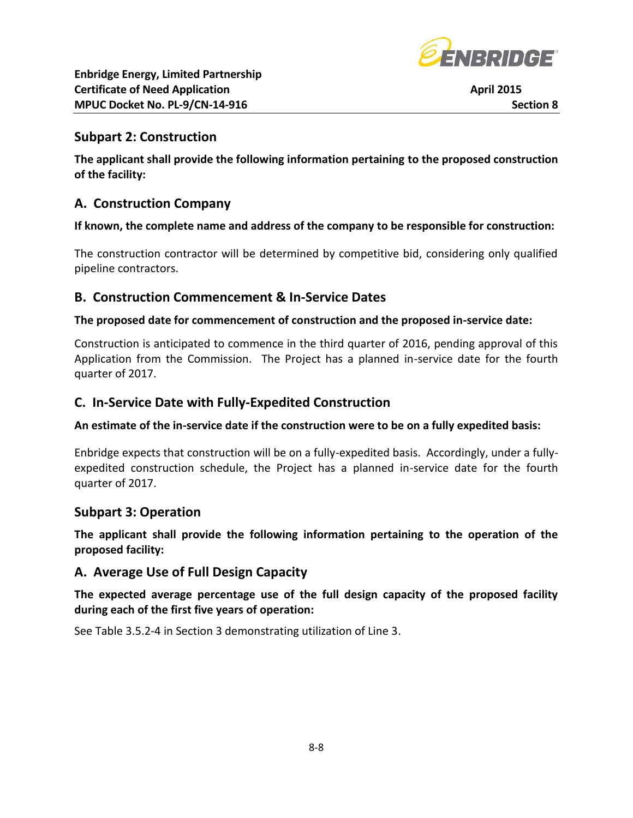

### **Subpart 2: Construction**

**The applicant shall provide the following information pertaining to the proposed construction of the facility:**

### **A. Construction Company**

#### **If known, the complete name and address of the company to be responsible for construction:**

The construction contractor will be determined by competitive bid, considering only qualified pipeline contractors.

### **B. Construction Commencement & In-Service Dates**

#### **The proposed date for commencement of construction and the proposed in-service date:**

Construction is anticipated to commence in the third quarter of 2016, pending approval of this Application from the Commission. The Project has a planned in-service date for the fourth quarter of 2017.

### **C. In-Service Date with Fully-Expedited Construction**

#### **An estimate of the in-service date if the construction were to be on a fully expedited basis:**

Enbridge expects that construction will be on a fully-expedited basis. Accordingly, under a fullyexpedited construction schedule, the Project has a planned in-service date for the fourth quarter of 2017.

### **Subpart 3: Operation**

**The applicant shall provide the following information pertaining to the operation of the proposed facility:**

### **A. Average Use of Full Design Capacity**

**The expected average percentage use of the full design capacity of the proposed facility during each of the first five years of operation:**

See Table 3.5.2-4 in Section 3 demonstrating utilization of Line 3.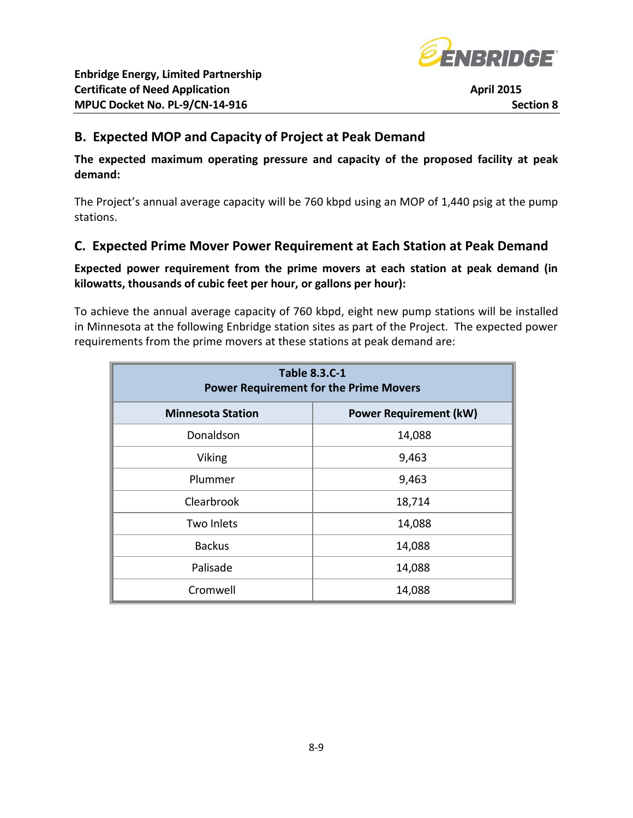

## **B. Expected MOP and Capacity of Project at Peak Demand**

**The expected maximum operating pressure and capacity of the proposed facility at peak demand:**

The Project's annual average capacity will be 760 kbpd using an MOP of 1,440 psig at the pump stations.

## **C. Expected Prime Mover Power Requirement at Each Station at Peak Demand**

### **Expected power requirement from the prime movers at each station at peak demand (in kilowatts, thousands of cubic feet per hour, or gallons per hour):**

To achieve the annual average capacity of 760 kbpd, eight new pump stations will be installed in Minnesota at the following Enbridge station sites as part of the Project. The expected power requirements from the prime movers at these stations at peak demand are:

| <b>Table 8.3.C-1</b><br><b>Power Requirement for the Prime Movers</b> |        |  |  |
|-----------------------------------------------------------------------|--------|--|--|
| <b>Power Requirement (kW)</b><br><b>Minnesota Station</b>             |        |  |  |
| Donaldson                                                             | 14,088 |  |  |
| Viking                                                                | 9,463  |  |  |
| Plummer                                                               | 9,463  |  |  |
| Clearbrook                                                            | 18,714 |  |  |
| Two Inlets                                                            | 14,088 |  |  |
| <b>Backus</b>                                                         | 14,088 |  |  |
| Palisade                                                              | 14,088 |  |  |
| Cromwell                                                              | 14,088 |  |  |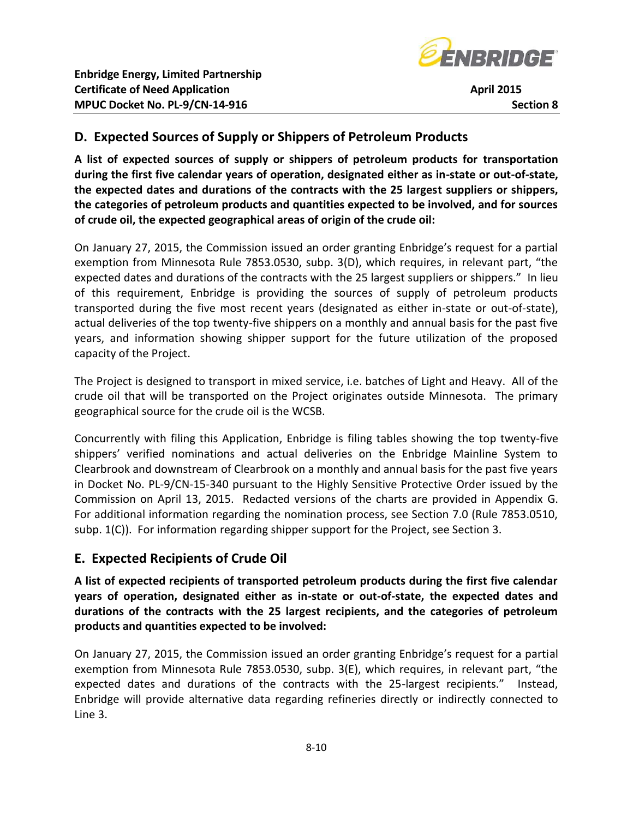

# **D. Expected Sources of Supply or Shippers of Petroleum Products**

**A list of expected sources of supply or shippers of petroleum products for transportation during the first five calendar years of operation, designated either as in-state or out-of-state, the expected dates and durations of the contracts with the 25 largest suppliers or shippers, the categories of petroleum products and quantities expected to be involved, and for sources of crude oil, the expected geographical areas of origin of the crude oil:**

On January 27, 2015, the Commission issued an order granting Enbridge's request for a partial exemption from Minnesota Rule 7853.0530, subp. 3(D), which requires, in relevant part, "the expected dates and durations of the contracts with the 25 largest suppliers or shippers." In lieu of this requirement, Enbridge is providing the sources of supply of petroleum products transported during the five most recent years (designated as either in-state or out-of-state), actual deliveries of the top twenty-five shippers on a monthly and annual basis for the past five years, and information showing shipper support for the future utilization of the proposed capacity of the Project.

The Project is designed to transport in mixed service, i.e. batches of Light and Heavy. All of the crude oil that will be transported on the Project originates outside Minnesota. The primary geographical source for the crude oil is the WCSB.

Concurrently with filing this Application, Enbridge is filing tables showing the top twenty-five shippers' verified nominations and actual deliveries on the Enbridge Mainline System to Clearbrook and downstream of Clearbrook on a monthly and annual basis for the past five years in Docket No. PL-9/CN-15-340 pursuant to the Highly Sensitive Protective Order issued by the Commission on April 13, 2015. Redacted versions of the charts are provided in Appendix G. For additional information regarding the nomination process, see Section 7.0 (Rule 7853.0510, subp. 1(C)). For information regarding shipper support for the Project, see Section 3.

### **E. Expected Recipients of Crude Oil**

**A list of expected recipients of transported petroleum products during the first five calendar years of operation, designated either as in-state or out-of-state, the expected dates and durations of the contracts with the 25 largest recipients, and the categories of petroleum products and quantities expected to be involved:**

On January 27, 2015, the Commission issued an order granting Enbridge's request for a partial exemption from Minnesota Rule 7853.0530, subp. 3(E), which requires, in relevant part, "the expected dates and durations of the contracts with the 25-largest recipients." Instead, Enbridge will provide alternative data regarding refineries directly or indirectly connected to Line 3.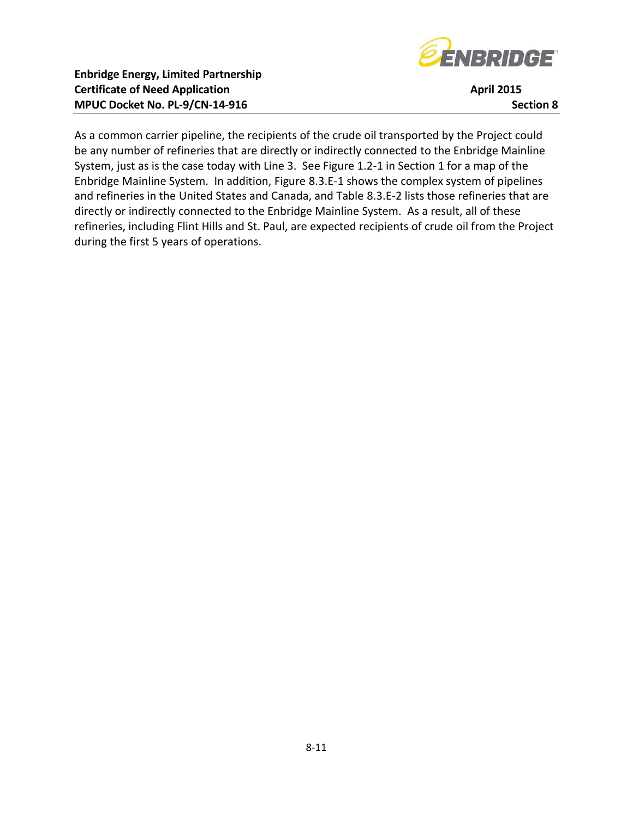

As a common carrier pipeline, the recipients of the crude oil transported by the Project could be any number of refineries that are directly or indirectly connected to the Enbridge Mainline System, just as is the case today with Line 3. See Figure 1.2-1 in Section 1 for a map of the Enbridge Mainline System. In addition, Figure 8.3.E-1 shows the complex system of pipelines and refineries in the United States and Canada, and Table 8.3.E-2 lists those refineries that are directly or indirectly connected to the Enbridge Mainline System. As a result, all of these refineries, including Flint Hills and St. Paul, are expected recipients of crude oil from the Project during the first 5 years of operations.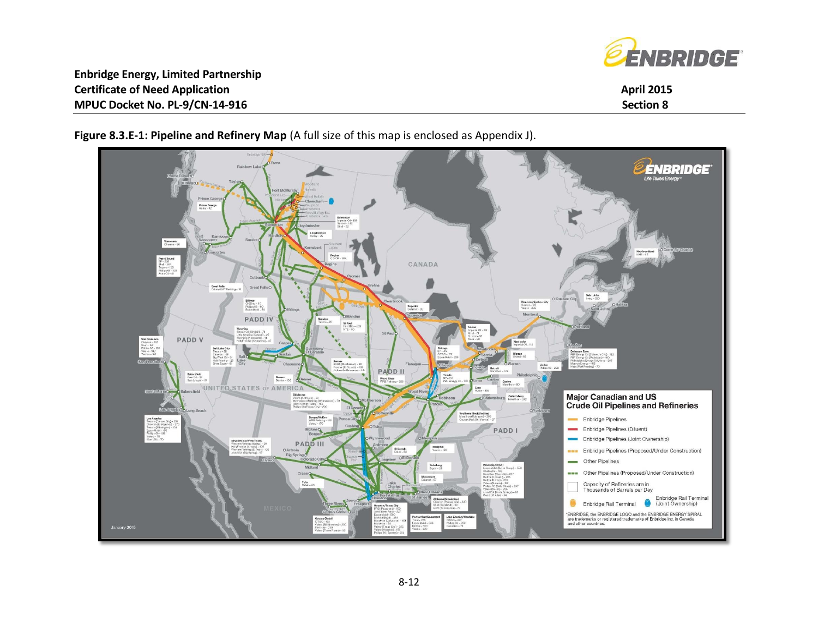



**Figure 8.3.E-1: Pipeline and Refinery Map** (A full size of this map is enclosed as Appendix J).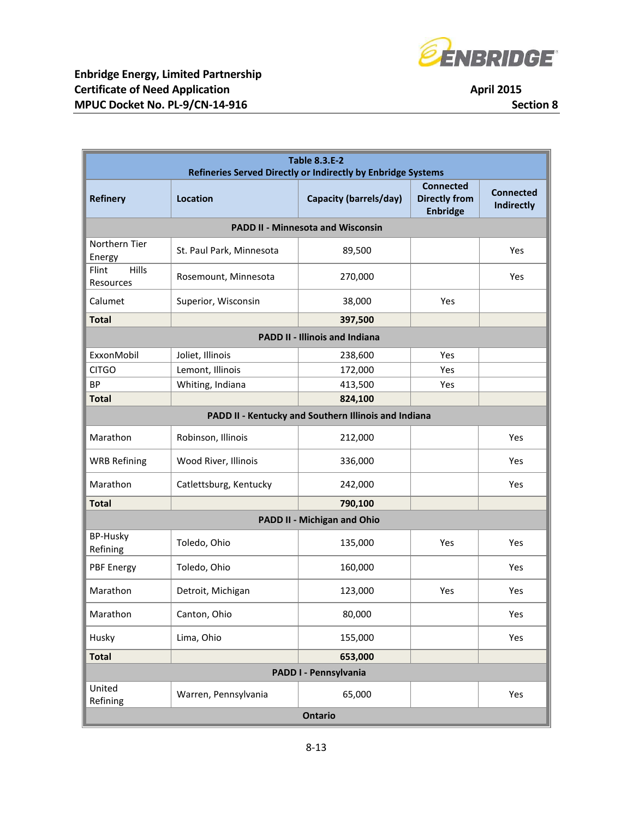

| <b>April 2015</b> |                      |  |  |  |
|-------------------|----------------------|--|--|--|
|                   | <b>Section &amp;</b> |  |  |  |

| <b>Table 8.3.E-2</b><br>Refineries Served Directly or Indirectly by Enbridge Systems |                          |                                          |                                                             |                                       |  |
|--------------------------------------------------------------------------------------|--------------------------|------------------------------------------|-------------------------------------------------------------|---------------------------------------|--|
| <b>Refinery</b>                                                                      | Location                 | <b>Capacity (barrels/day)</b>            | <b>Connected</b><br><b>Directly from</b><br><b>Enbridge</b> | <b>Connected</b><br><b>Indirectly</b> |  |
|                                                                                      |                          | <b>PADD II - Minnesota and Wisconsin</b> |                                                             |                                       |  |
| Northern Tier<br>Energy                                                              | St. Paul Park, Minnesota | 89,500                                   |                                                             | Yes                                   |  |
| Hills<br>Flint<br>Resources                                                          | Rosemount, Minnesota     | 270,000                                  |                                                             | Yes                                   |  |
| Calumet                                                                              | Superior, Wisconsin      | 38,000                                   | Yes                                                         |                                       |  |
| <b>Total</b>                                                                         |                          | 397,500                                  |                                                             |                                       |  |
|                                                                                      |                          | <b>PADD II - Illinois and Indiana</b>    |                                                             |                                       |  |
| ExxonMobil                                                                           | Joliet, Illinois         | 238,600                                  | Yes                                                         |                                       |  |
| <b>CITGO</b>                                                                         | Lemont, Illinois         | 172,000                                  | Yes                                                         |                                       |  |
| <b>BP</b>                                                                            | Whiting, Indiana         | 413,500                                  | Yes                                                         |                                       |  |
| <b>Total</b>                                                                         |                          | 824,100                                  |                                                             |                                       |  |
| PADD II - Kentucky and Southern Illinois and Indiana                                 |                          |                                          |                                                             |                                       |  |
| Marathon                                                                             | Robinson, Illinois       | 212,000                                  |                                                             | Yes                                   |  |
| <b>WRB Refining</b>                                                                  | Wood River, Illinois     | 336,000                                  |                                                             | Yes                                   |  |
| Marathon                                                                             | Catlettsburg, Kentucky   | 242,000                                  |                                                             | Yes                                   |  |
| <b>Total</b>                                                                         |                          | 790,100                                  |                                                             |                                       |  |
|                                                                                      |                          | PADD II - Michigan and Ohio              |                                                             |                                       |  |
| <b>BP-Husky</b><br>Refining                                                          | Toledo, Ohio             | 135,000                                  | Yes                                                         | Yes                                   |  |
| <b>PBF Energy</b>                                                                    | Toledo, Ohio             | 160,000                                  |                                                             | Yes                                   |  |
| Marathon                                                                             | Detroit, Michigan        | 123,000                                  | Yes                                                         | Yes                                   |  |
| Marathon                                                                             | Canton, Ohio             | 80,000                                   |                                                             | Yes                                   |  |
| Husky                                                                                | Lima, Ohio               | 155,000                                  |                                                             | Yes                                   |  |
| <b>Total</b>                                                                         |                          | 653,000                                  |                                                             |                                       |  |
| PADD I - Pennsylvania                                                                |                          |                                          |                                                             |                                       |  |
| United<br>Refining                                                                   | Warren, Pennsylvania     | 65,000                                   |                                                             | Yes                                   |  |
| <b>Ontario</b>                                                                       |                          |                                          |                                                             |                                       |  |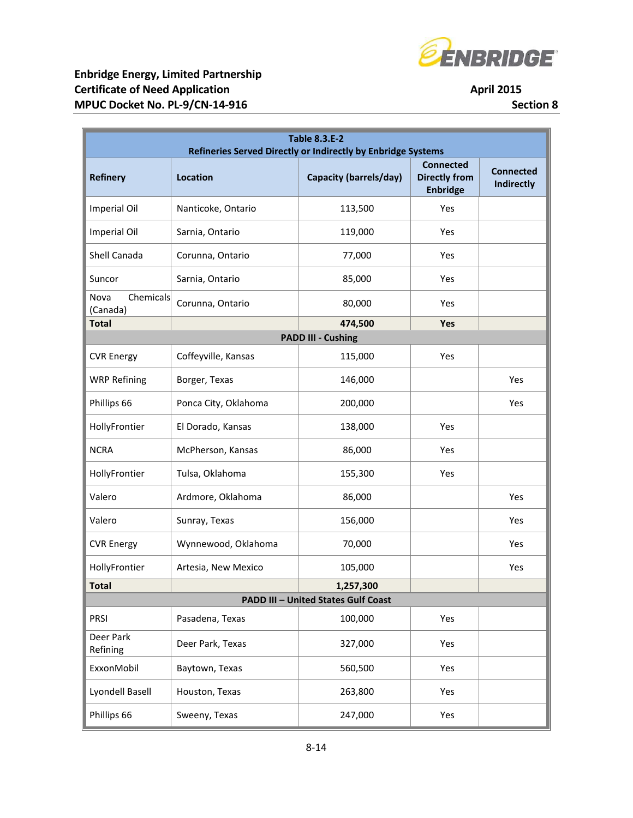

| <b>Table 8.3.E-2</b><br>Refineries Served Directly or Indirectly by Enbridge Systems |                      |                                            |                                                             |                                       |  |  |  |
|--------------------------------------------------------------------------------------|----------------------|--------------------------------------------|-------------------------------------------------------------|---------------------------------------|--|--|--|
| <b>Refinery</b>                                                                      | <b>Location</b>      | <b>Capacity (barrels/day)</b>              | <b>Connected</b><br><b>Directly from</b><br><b>Enbridge</b> | <b>Connected</b><br><b>Indirectly</b> |  |  |  |
| Imperial Oil                                                                         | Nanticoke, Ontario   | 113,500                                    | Yes                                                         |                                       |  |  |  |
| Imperial Oil                                                                         | Sarnia, Ontario      | 119,000                                    | Yes                                                         |                                       |  |  |  |
| Shell Canada                                                                         | Corunna, Ontario     | 77,000                                     | Yes                                                         |                                       |  |  |  |
| Suncor                                                                               | Sarnia, Ontario      | 85,000                                     | Yes                                                         |                                       |  |  |  |
| Chemicals<br>Nova<br>(Canada)                                                        | Corunna, Ontario     | 80,000                                     | Yes                                                         |                                       |  |  |  |
| <b>Total</b>                                                                         |                      | 474,500                                    | Yes                                                         |                                       |  |  |  |
|                                                                                      |                      | <b>PADD III - Cushing</b>                  |                                                             |                                       |  |  |  |
| <b>CVR Energy</b>                                                                    | Coffeyville, Kansas  | 115,000                                    | Yes                                                         |                                       |  |  |  |
| <b>WRP Refining</b>                                                                  | Borger, Texas        | 146,000                                    |                                                             | Yes                                   |  |  |  |
| Phillips 66                                                                          | Ponca City, Oklahoma | 200,000                                    |                                                             | Yes                                   |  |  |  |
| HollyFrontier                                                                        | El Dorado, Kansas    | 138,000                                    | Yes                                                         |                                       |  |  |  |
| <b>NCRA</b>                                                                          | McPherson, Kansas    | 86,000                                     | Yes                                                         |                                       |  |  |  |
| HollyFrontier                                                                        | Tulsa, Oklahoma      | 155,300                                    | Yes                                                         |                                       |  |  |  |
| Valero                                                                               | Ardmore, Oklahoma    | 86,000                                     |                                                             | Yes                                   |  |  |  |
| Valero                                                                               | Sunray, Texas        | 156,000                                    |                                                             | Yes                                   |  |  |  |
| <b>CVR Energy</b>                                                                    | Wynnewood, Oklahoma  | 70,000                                     |                                                             | Yes                                   |  |  |  |
| HollyFrontier                                                                        | Artesia, New Mexico  | 105,000                                    |                                                             | Yes                                   |  |  |  |
| <b>Total</b>                                                                         |                      | 1,257,300                                  |                                                             |                                       |  |  |  |
|                                                                                      |                      | <b>PADD III - United States Gulf Coast</b> |                                                             |                                       |  |  |  |
| PRSI                                                                                 | Pasadena, Texas      | 100,000                                    | Yes                                                         |                                       |  |  |  |
| Deer Park<br>Refining                                                                | Deer Park, Texas     | 327,000                                    | Yes                                                         |                                       |  |  |  |
| ExxonMobil                                                                           | Baytown, Texas       | 560,500                                    | Yes                                                         |                                       |  |  |  |
| Lyondell Basell                                                                      | Houston, Texas       | 263,800                                    | Yes                                                         |                                       |  |  |  |
| Phillips 66                                                                          | Sweeny, Texas        | 247,000                                    | Yes                                                         |                                       |  |  |  |